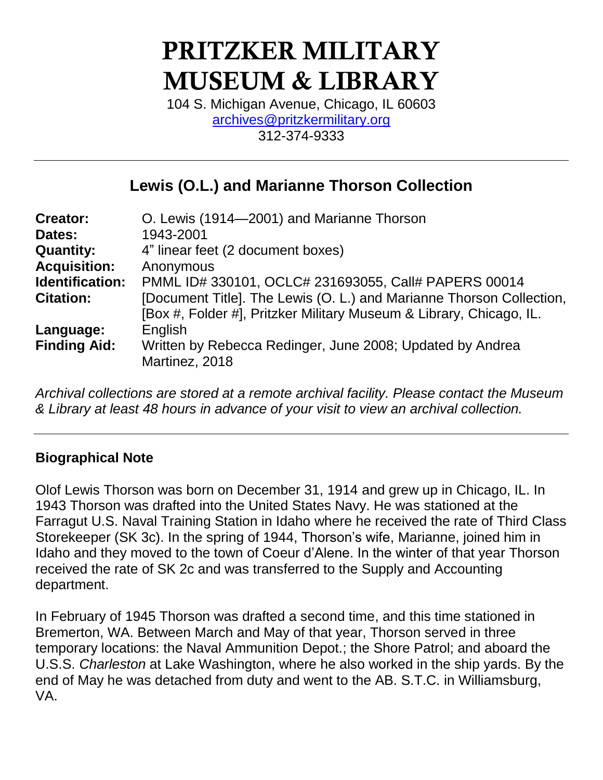# PRITZKER MILITARY MUSEUM & LIBRARY

104 S. Michigan Avenue, Chicago, IL 60603 [archives@pritzkermilitary.org](mailto:archives@pritzkermilitary.org) 312-374-9333

## **Lewis (O.L.) and Marianne Thorson Collection**

| <b>Creator:</b>     | O. Lewis (1914–2001) and Marianne Thorson                            |
|---------------------|----------------------------------------------------------------------|
| Dates:              | 1943-2001                                                            |
| <b>Quantity:</b>    | 4" linear feet (2 document boxes)                                    |
| <b>Acquisition:</b> | Anonymous                                                            |
| Identification:     | PMML ID# 330101, OCLC# 231693055, Call# PAPERS 00014                 |
| <b>Citation:</b>    | [Document Title]. The Lewis (O. L.) and Marianne Thorson Collection, |
|                     | [Box #, Folder #], Pritzker Military Museum & Library, Chicago, IL.  |
| Language:           | English                                                              |
| <b>Finding Aid:</b> | Written by Rebecca Redinger, June 2008; Updated by Andrea            |
|                     | Martinez, 2018                                                       |

*Archival collections are stored at a remote archival facility. Please contact the Museum & Library at least 48 hours in advance of your visit to view an archival collection.*

## **Biographical Note**

Olof Lewis Thorson was born on December 31, 1914 and grew up in Chicago, IL. In 1943 Thorson was drafted into the United States Navy. He was stationed at the Farragut U.S. Naval Training Station in Idaho where he received the rate of Third Class Storekeeper (SK 3c). In the spring of 1944, Thorson's wife, Marianne, joined him in Idaho and they moved to the town of Coeur d'Alene. In the winter of that year Thorson received the rate of SK 2c and was transferred to the Supply and Accounting department.

In February of 1945 Thorson was drafted a second time, and this time stationed in Bremerton, WA. Between March and May of that year, Thorson served in three temporary locations: the Naval Ammunition Depot.; the Shore Patrol; and aboard the U.S.S. *Charleston* at Lake Washington, where he also worked in the ship yards. By the end of May he was detached from duty and went to the AB. S.T.C. in Williamsburg, VA.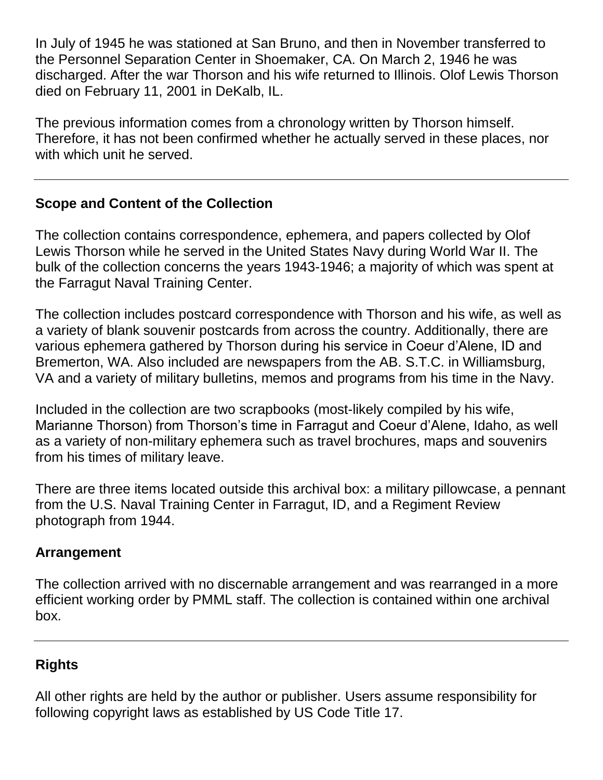In July of 1945 he was stationed at San Bruno, and then in November transferred to the Personnel Separation Center in Shoemaker, CA. On March 2, 1946 he was discharged. After the war Thorson and his wife returned to Illinois. Olof Lewis Thorson died on February 11, 2001 in DeKalb, IL.

The previous information comes from a chronology written by Thorson himself. Therefore, it has not been confirmed whether he actually served in these places, nor with which unit he served.

## **Scope and Content of the Collection**

The collection contains correspondence, ephemera, and papers collected by Olof Lewis Thorson while he served in the United States Navy during World War II. The bulk of the collection concerns the years 1943-1946; a majority of which was spent at the Farragut Naval Training Center.

The collection includes postcard correspondence with Thorson and his wife, as well as a variety of blank souvenir postcards from across the country. Additionally, there are various ephemera gathered by Thorson during his service in Coeur d'Alene, ID and Bremerton, WA. Also included are newspapers from the AB. S.T.C. in Williamsburg, VA and a variety of military bulletins, memos and programs from his time in the Navy.

Included in the collection are two scrapbooks (most-likely compiled by his wife, Marianne Thorson) from Thorson's time in Farragut and Coeur d'Alene, Idaho, as well as a variety of non-military ephemera such as travel brochures, maps and souvenirs from his times of military leave.

There are three items located outside this archival box: a military pillowcase, a pennant from the U.S. Naval Training Center in Farragut, ID, and a Regiment Review photograph from 1944.

## **Arrangement**

The collection arrived with no discernable arrangement and was rearranged in a more efficient working order by PMML staff. The collection is contained within one archival box.

## **Rights**

All other rights are held by the author or publisher. Users assume responsibility for following copyright laws as established by US Code Title 17.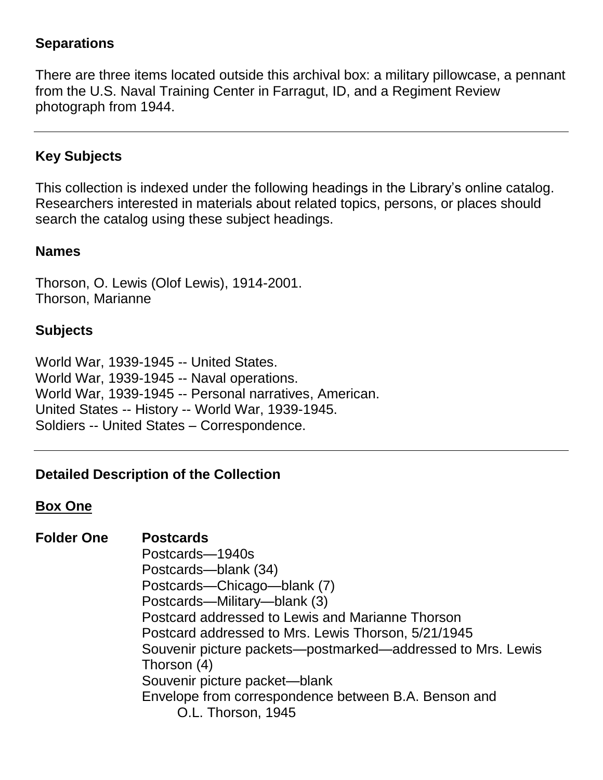#### **Separations**

There are three items located outside this archival box: a military pillowcase, a pennant from the U.S. Naval Training Center in Farragut, ID, and a Regiment Review photograph from 1944.

## **Key Subjects**

This collection is indexed under the following headings in the Library's online catalog. Researchers interested in materials about related topics, persons, or places should search the catalog using these subject headings.

#### **Names**

Thorson, O. Lewis (Olof Lewis), 1914-2001. Thorson, Marianne

#### **Subjects**

World War, 1939-1945 -- United States. World War, 1939-1945 -- Naval operations. World War, 1939-1945 -- Personal narratives, American. United States -- History -- World War, 1939-1945. Soldiers -- United States – Correspondence.

#### **Detailed Description of the Collection**

#### **Box One**

#### **Folder One Postcards**

Postcards—1940s Postcards—blank (34) Postcards—Chicago—blank (7) Postcards—Military—blank (3) Postcard addressed to Lewis and Marianne Thorson Postcard addressed to Mrs. Lewis Thorson, 5/21/1945 Souvenir picture packets—postmarked—addressed to Mrs. Lewis Thorson (4) Souvenir picture packet—blank Envelope from correspondence between B.A. Benson and O.L. Thorson, 1945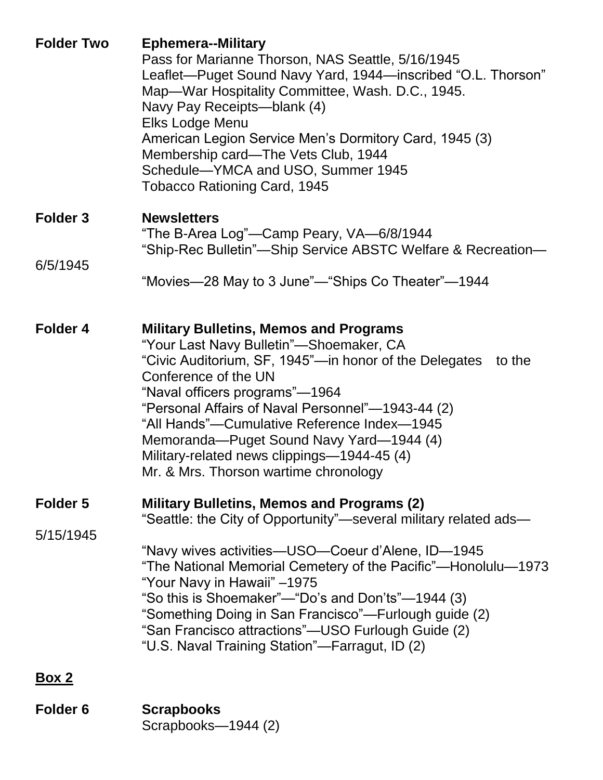| <b>Folder Two</b> | <b>Ephemera--Military</b><br>Pass for Marianne Thorson, NAS Seattle, 5/16/1945<br>Leaflet-Puget Sound Navy Yard, 1944-inscribed "O.L. Thorson"<br>Map-War Hospitality Committee, Wash. D.C., 1945.<br>Navy Pay Receipts-blank (4)<br>Elks Lodge Menu<br>American Legion Service Men's Dormitory Card, 1945 (3)<br>Membership card—The Vets Club, 1944<br>Schedule-YMCA and USO, Summer 1945<br><b>Tobacco Rationing Card, 1945</b>                             |
|-------------------|----------------------------------------------------------------------------------------------------------------------------------------------------------------------------------------------------------------------------------------------------------------------------------------------------------------------------------------------------------------------------------------------------------------------------------------------------------------|
| Folder 3          | <b>Newsletters</b><br>"The B-Area Log"—Camp Peary, VA—6/8/1944<br>"Ship-Rec Bulletin"—Ship Service ABSTC Welfare & Recreation—                                                                                                                                                                                                                                                                                                                                 |
| 6/5/1945          | "Movies—28 May to 3 June"—"Ships Co Theater"—1944                                                                                                                                                                                                                                                                                                                                                                                                              |
| Folder 4          | <b>Military Bulletins, Memos and Programs</b><br>"Your Last Navy Bulletin"—Shoemaker, CA<br>"Civic Auditorium, SF, 1945"—in honor of the Delegates<br>to the<br>Conference of the UN<br>"Naval officers programs"—1964<br>"Personal Affairs of Naval Personnel"—1943-44 (2)<br>"All Hands"—Cumulative Reference Index—1945<br>Memoranda-Puget Sound Navy Yard-1944 (4)<br>Military-related news clippings-1944-45 (4)<br>Mr. & Mrs. Thorson wartime chronology |
| Folder 5          | <b>Military Bulletins, Memos and Programs (2)</b>                                                                                                                                                                                                                                                                                                                                                                                                              |
| 5/15/1945         | "Seattle: the City of Opportunity"—several military related ads—<br>"Navy wives activities—USO—Coeur d'Alene, ID—1945<br>"The National Memorial Cemetery of the Pacific"—Honolulu—1973<br>"Your Navy in Hawaii" -1975<br>"So this is Shoemaker"—"Do's and Don'ts"—1944 (3)<br>"Something Doing in San Francisco"—Furlough guide (2)<br>"San Francisco attractions"—USO Furlough Guide (2)<br>"U.S. Naval Training Station"-Farragut, ID (2)                    |
| <u>Box 2</u>      |                                                                                                                                                                                                                                                                                                                                                                                                                                                                |
|                   |                                                                                                                                                                                                                                                                                                                                                                                                                                                                |

**Folder 6 Scrapbooks** Scrapbooks—1944 (2)